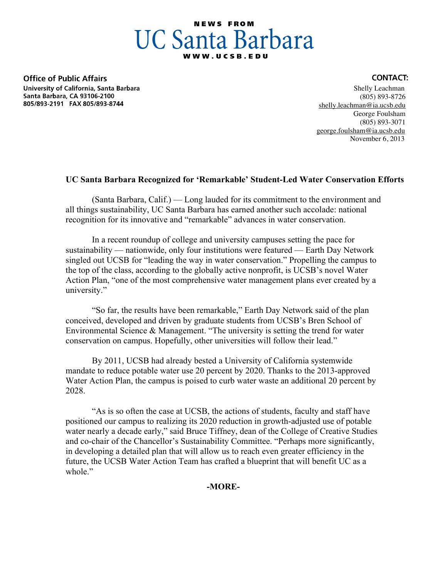## **NEWS FROM UC Santa Barbara**

**Office of Public Affairs** University of California, Santa Barbara Santa Barbara, CA 93106-2100 805/893-2191 FAX 805/893-8744

## **CONTACT:**

 Shelly Leachman (805) 893-8726 shelly.leachman@ia.ucsb.edu George Foulsham (805) 893-3071 george.foulsham@ia.ucsb.edu November 6, 2013

## **UC Santa Barbara Recognized for 'Remarkable' Student-Led Water Conservation Efforts**

(Santa Barbara, Calif.) — Long lauded for its commitment to the environment and all things sustainability, UC Santa Barbara has earned another such accolade: national recognition for its innovative and "remarkable" advances in water conservation.

In a recent roundup of college and university campuses setting the pace for sustainability — nationwide, only four institutions were featured — Earth Day Network singled out UCSB for "leading the way in water conservation." Propelling the campus to the top of the class, according to the globally active nonprofit, is UCSB's novel Water Action Plan, "one of the most comprehensive water management plans ever created by a university."

"So far, the results have been remarkable," Earth Day Network said of the plan conceived, developed and driven by graduate students from UCSB's Bren School of Environmental Science & Management. "The university is setting the trend for water conservation on campus. Hopefully, other universities will follow their lead."

By 2011, UCSB had already bested a University of California systemwide mandate to reduce potable water use 20 percent by 2020. Thanks to the 2013-approved Water Action Plan, the campus is poised to curb water waste an additional 20 percent by 2028.

"As is so often the case at UCSB, the actions of students, faculty and staff have positioned our campus to realizing its 2020 reduction in growth-adjusted use of potable water nearly a decade early," said Bruce Tiffney, dean of the College of Creative Studies and co-chair of the Chancellor's Sustainability Committee. "Perhaps more significantly, in developing a detailed plan that will allow us to reach even greater efficiency in the future, the UCSB Water Action Team has crafted a blueprint that will benefit UC as a whole."

**-MORE-**